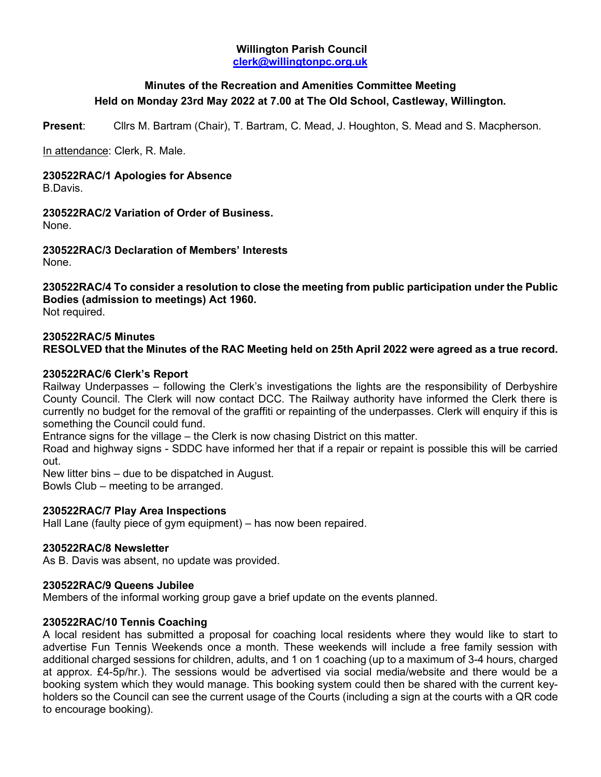### **Willington Parish Council [clerk@willingtonpc.org.uk](mailto:clerk@willingtonpc.org.uk)**

# **Minutes of the Recreation and Amenities Committee Meeting Held on Monday 23rd May 2022 at 7.00 at The Old School, Castleway, Willington.**

**Present**: Cllrs M. Bartram (Chair), T. Bartram, C. Mead, J. Houghton, S. Mead and S. Macpherson.

In attendance: Clerk, R. Male.

# **230522RAC/1 Apologies for Absence**

B.Davis.

**230522RAC/2 Variation of Order of Business.** None.

**230522RAC/3 Declaration of Members' Interests** None.

**230522RAC/4 To consider a resolution to close the meeting from public participation under the Public Bodies (admission to meetings) Act 1960.** Not required.

### **230522RAC/5 Minutes**

**RESOLVED that the Minutes of the RAC Meeting held on 25th April 2022 were agreed as a true record.**

#### **230522RAC/6 Clerk's Report**

Railway Underpasses – following the Clerk's investigations the lights are the responsibility of Derbyshire County Council. The Clerk will now contact DCC. The Railway authority have informed the Clerk there is currently no budget for the removal of the graffiti or repainting of the underpasses. Clerk will enquiry if this is something the Council could fund.

Entrance signs for the village – the Clerk is now chasing District on this matter.

Road and highway signs - SDDC have informed her that if a repair or repaint is possible this will be carried out.

New litter bins – due to be dispatched in August.

Bowls Club – meeting to be arranged.

#### **230522RAC/7 Play Area Inspections**

Hall Lane (faulty piece of gym equipment) – has now been repaired.

#### **230522RAC/8 Newsletter**

As B. Davis was absent, no update was provided.

#### **230522RAC/9 Queens Jubilee**

Members of the informal working group gave a brief update on the events planned.

#### **230522RAC/10 Tennis Coaching**

A local resident has submitted a proposal for coaching local residents where they would like to start to advertise Fun Tennis Weekends once a month. These weekends will include a free family session with additional charged sessions for children, adults, and 1 on 1 coaching (up to a maximum of 3-4 hours, charged at approx. £4-5p/hr.). The sessions would be advertised via social media/website and there would be a booking system which they would manage. This booking system could then be shared with the current keyholders so the Council can see the current usage of the Courts (including a sign at the courts with a QR code to encourage booking).